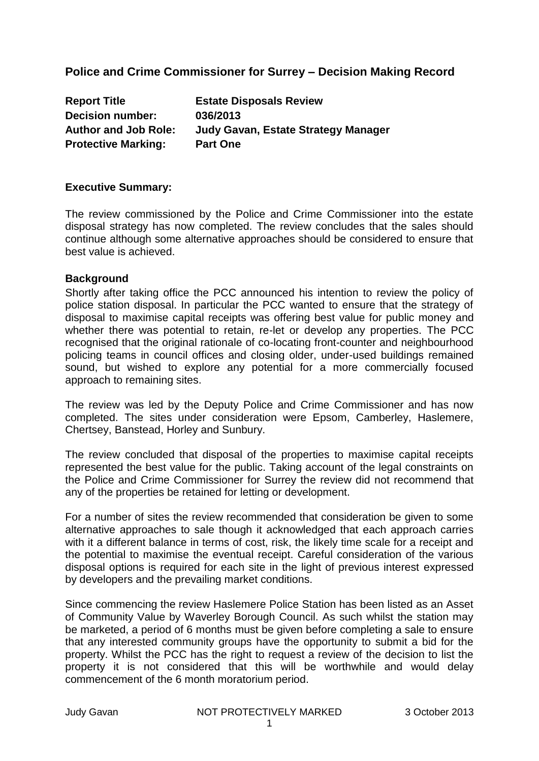# **Police and Crime Commissioner for Surrey – Decision Making Record**

| <b>Estate Disposals Review</b>      |
|-------------------------------------|
| 036/2013                            |
| Judy Gavan, Estate Strategy Manager |
| <b>Part One</b>                     |
|                                     |

#### **Executive Summary:**

The review commissioned by the Police and Crime Commissioner into the estate disposal strategy has now completed. The review concludes that the sales should continue although some alternative approaches should be considered to ensure that best value is achieved.

#### **Background**

Shortly after taking office the PCC announced his intention to review the policy of police station disposal. In particular the PCC wanted to ensure that the strategy of disposal to maximise capital receipts was offering best value for public money and whether there was potential to retain, re-let or develop any properties. The PCC recognised that the original rationale of co-locating front-counter and neighbourhood policing teams in council offices and closing older, under-used buildings remained sound, but wished to explore any potential for a more commercially focused approach to remaining sites.

The review was led by the Deputy Police and Crime Commissioner and has now completed. The sites under consideration were Epsom, Camberley, Haslemere, Chertsey, Banstead, Horley and Sunbury.

The review concluded that disposal of the properties to maximise capital receipts represented the best value for the public. Taking account of the legal constraints on the Police and Crime Commissioner for Surrey the review did not recommend that any of the properties be retained for letting or development.

For a number of sites the review recommended that consideration be given to some alternative approaches to sale though it acknowledged that each approach carries with it a different balance in terms of cost, risk, the likely time scale for a receipt and the potential to maximise the eventual receipt. Careful consideration of the various disposal options is required for each site in the light of previous interest expressed by developers and the prevailing market conditions.

Since commencing the review Haslemere Police Station has been listed as an Asset of Community Value by Waverley Borough Council. As such whilst the station may be marketed, a period of 6 months must be given before completing a sale to ensure that any interested community groups have the opportunity to submit a bid for the property. Whilst the PCC has the right to request a review of the decision to list the property it is not considered that this will be worthwhile and would delay commencement of the 6 month moratorium period.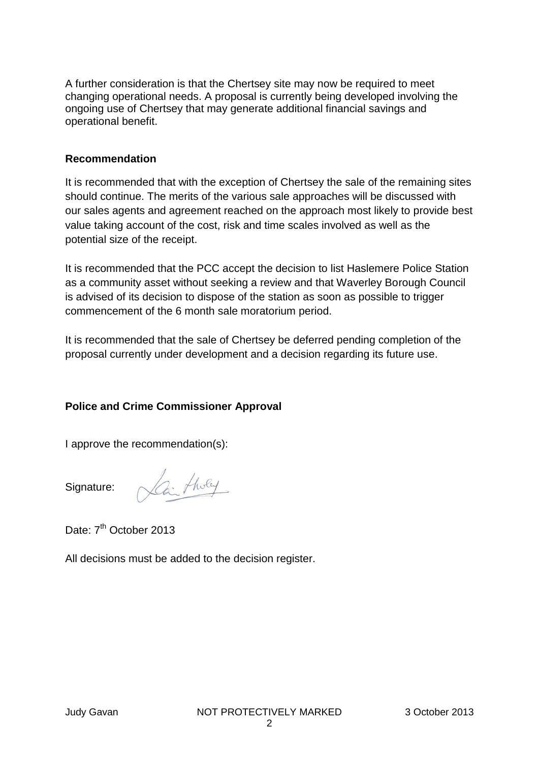A further consideration is that the Chertsey site may now be required to meet changing operational needs. A proposal is currently being developed involving the ongoing use of Chertsey that may generate additional financial savings and operational benefit.

#### **Recommendation**

It is recommended that with the exception of Chertsey the sale of the remaining sites should continue. The merits of the various sale approaches will be discussed with our sales agents and agreement reached on the approach most likely to provide best value taking account of the cost, risk and time scales involved as well as the potential size of the receipt.

It is recommended that the PCC accept the decision to list Haslemere Police Station as a community asset without seeking a review and that Waverley Borough Council is advised of its decision to dispose of the station as soon as possible to trigger commencement of the 6 month sale moratorium period.

It is recommended that the sale of Chertsey be deferred pending completion of the proposal currently under development and a decision regarding its future use.

#### **Police and Crime Commissioner Approval**

I approve the recommendation(s):

Signature:

Can threy

Date: 7<sup>th</sup> October 2013

All decisions must be added to the decision register.